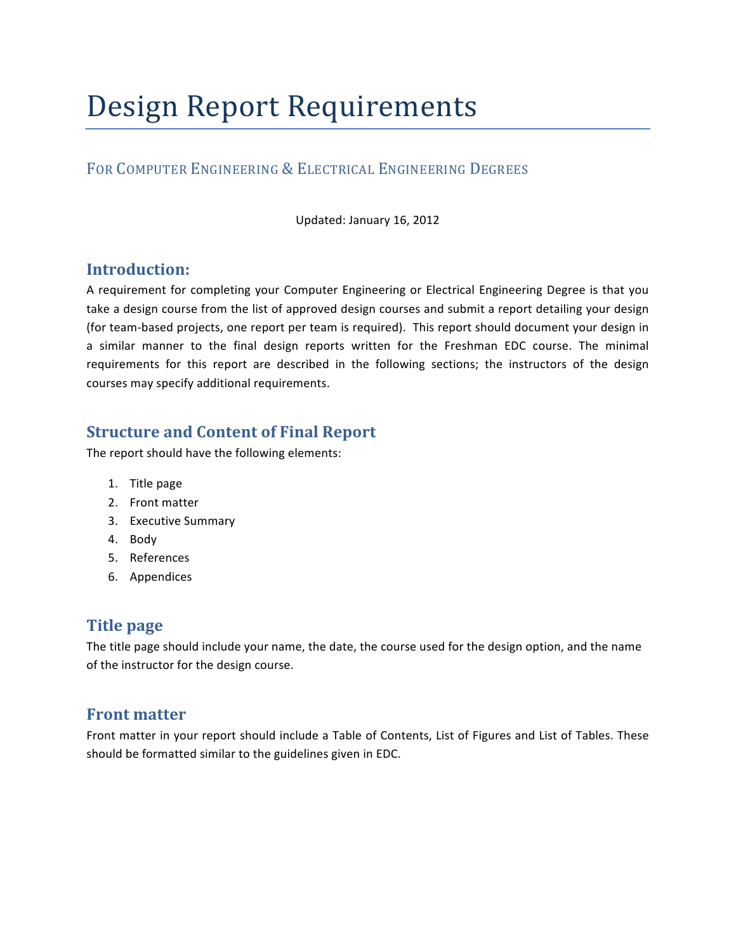# Design Report Requirements

## FOR COMPUTER ENGINEERING & ELECTRICAL ENGINEERING DEGREES

Updated: January 16, 2012

## **Introduction:**

A requirement for completing your Computer Engineering or Electrical Engineering Degree is that you take a design course from the list of approved design courses and submit a report detailing your design (for team-based projects, one report per team is required). This report should document your design in a similar manner to the final design reports written for the Freshman EDC course. The minimal requirements for this report are described in the following sections; the instructors of the design courses may specify additional requirements.

# **Structure and Content of Final Report**

The report should have the following elements:

- 1. Title page
- 2. Front matter
- 3. Executive Summary
- 4. Body
- 5. References
- 6. Appendices

## **Title page**

The title page should include your name, the date, the course used for the design option, and the name of the instructor for the design course.

#### **Front matter**

Front matter in your report should include a Table of Contents, List of Figures and List of Tables. These should be formatted similar to the guidelines given in EDC.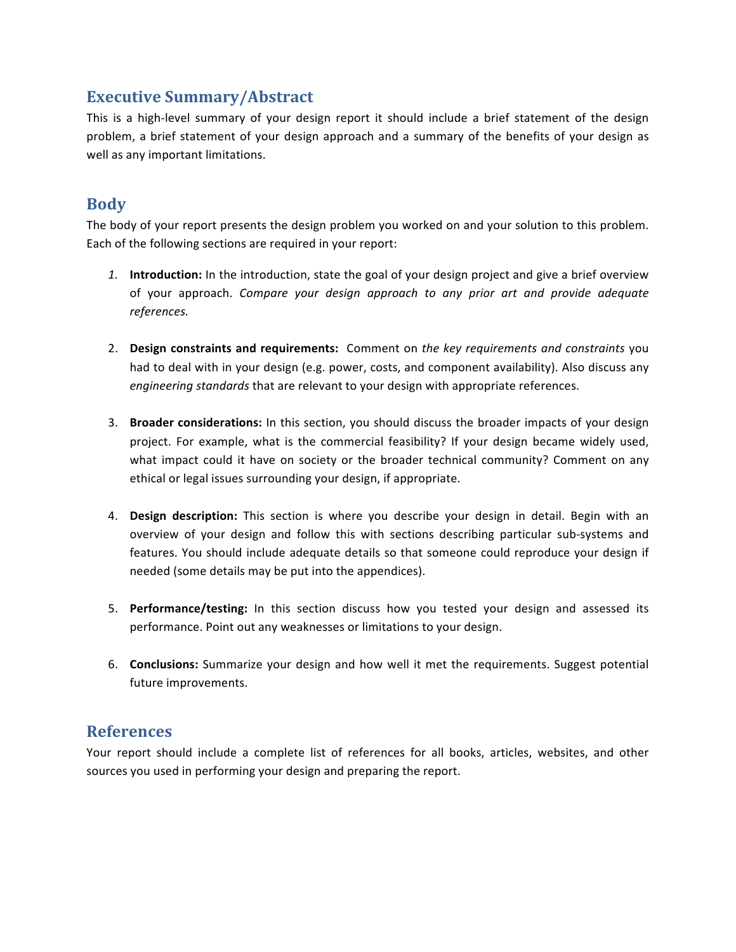## **Executive Summary/Abstract**

This is a high-level summary of your design report it should include a brief statement of the design problem, a brief statement of your design approach and a summary of the benefits of your design as well as any important limitations.

## **Body**

The body of your report presents the design problem you worked on and your solution to this problem. Each of the following sections are required in your report:

- 1. **Introduction:** In the introduction, state the goal of your design project and give a brief overview of your approach. *Compare your design approach to any prior art and provide adequate references.*
- 2. Design constraints and requirements: Comment on the key requirements and constraints you had to deal with in your design (e.g. power, costs, and component availability). Also discuss any *engineering standards* that are relevant to your design with appropriate references.
- 3. **Broader considerations:** In this section, you should discuss the broader impacts of your design project. For example, what is the commercial feasibility? If your design became widely used, what impact could it have on society or the broader technical community? Comment on any ethical or legal issues surrounding your design, if appropriate.
- 4. Design description: This section is where you describe your design in detail. Begin with an overview of your design and follow this with sections describing particular sub-systems and features. You should include adequate details so that someone could reproduce your design if needed (some details may be put into the appendices).
- 5. **Performance/testing:** In this section discuss how you tested your design and assessed its performance. Point out any weaknesses or limitations to your design.
- 6. **Conclusions:** Summarize your design and how well it met the requirements. Suggest potential future improvements.

## **References**

Your report should include a complete list of references for all books, articles, websites, and other sources you used in performing your design and preparing the report.